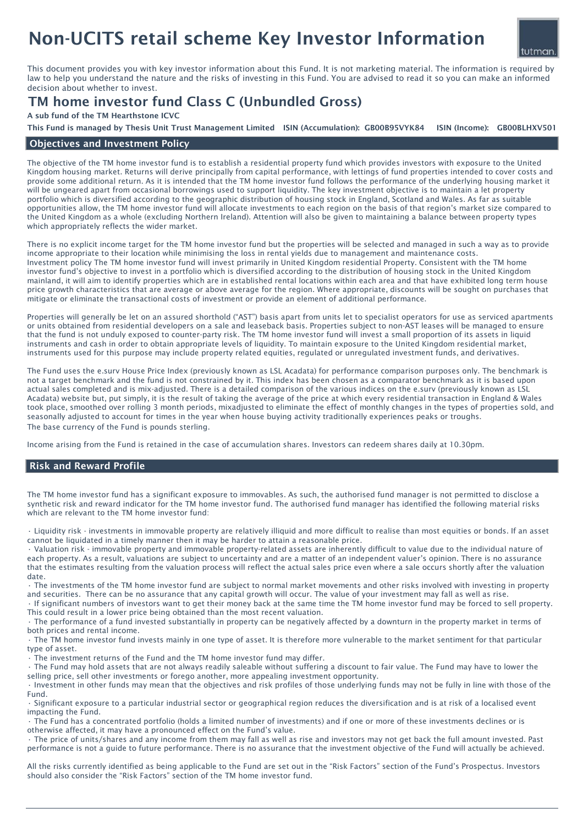# Non-UCITS retail scheme Key Investor Information

This document provides you with key investor information about this Fund. It is not marketing material. The information is required by law to help you understand the nature and the risks of investing in this Fund. You are advised to read it so you can make an informed decision about whether to invest.

## TM home investor fund Class C (Unbundled Gross)

A sub fund of the TM Hearthstone ICVC

ISIN (Income): GB00BLHXV501 This Fund is managed by Thesis Unit Trust Management Limited ISIN (Accumulation): GB00B95VYK84

## Objectives and Investment Policy

The objective of the TM home investor fund is to establish a residential property fund which provides investors with exposure to the United Kingdom housing market. Returns will derive principally from capital performance, with lettings of fund properties intended to cover costs and provide some additional return. As it is intended that the TM home investor fund follows the performance of the underlying housing market it will be ungeared apart from occasional borrowings used to support liquidity. The key investment objective is to maintain a let property portfolio which is diversified according to the geographic distribution of housing stock in England, Scotland and Wales. As far as suitable opportunities allow, the TM home investor fund will allocate investments to each region on the basis of that region's market size compared to the United Kingdom as a whole (excluding Northern Ireland). Attention will also be given to maintaining a balance between property types which appropriately reflects the wider market.

There is no explicit income target for the TM home investor fund but the properties will be selected and managed in such a way as to provide income appropriate to their location while minimising the loss in rental yields due to management and maintenance costs. Investment policy The TM home investor fund will invest primarily in United Kingdom residential Property. Consistent with the TM home investor fund's objective to invest in a portfolio which is diversified according to the distribution of housing stock in the United Kingdom mainland, it will aim to identify properties which are in established rental locations within each area and that have exhibited long term house price growth characteristics that are average or above average for the region. Where appropriate, discounts will be sought on purchases that mitigate or eliminate the transactional costs of investment or provide an element of additional performance.

Properties will generally be let on an assured shorthold ("AST") basis apart from units let to specialist operators for use as serviced apartments or units obtained from residential developers on a sale and leaseback basis. Properties subject to non-AST leases will be managed to ensure that the fund is not unduly exposed to counter-party risk. The TM home investor fund will invest a small proportion of its assets in liquid instruments and cash in order to obtain appropriate levels of liquidity. To maintain exposure to the United Kingdom residential market, instruments used for this purpose may include property related equities, regulated or unregulated investment funds, and derivatives.

The Fund uses the e.surv House Price Index (previously known as LSL Acadata) for performance comparison purposes only. The benchmark is not a target benchmark and the fund is not constrained by it. This index has been chosen as a comparator benchmark as it is based upon actual sales completed and is mix-adjusted. There is a detailed comparison of the various indices on the e.surv (previously known as LSL Acadata) website but, put simply, it is the result of taking the average of the price at which every residential transaction in England & Wales took place, smoothed over rolling 3 month periods, mixadjusted to eliminate the effect of monthly changes in the types of properties sold, and seasonally adjusted to account for times in the year when house buying activity traditionally experiences peaks or troughs. The base currency of the Fund is pounds sterling.

Income arising from the Fund is retained in the case of accumulation shares. Investors can redeem shares daily at 10.30pm.

## Risk and Reward Profile

The TM home investor fund has a significant exposure to immovables. As such, the authorised fund manager is not permitted to disclose a synthetic risk and reward indicator for the TM home investor fund. The authorised fund manager has identified the following material risks which are relevant to the TM home investor fund:

• Liquidity risk - investments in immovable property are relatively illiquid and more difficult to realise than most equities or bonds. If an asset cannot be liquidated in a timely manner then it may be harder to attain a reasonable price.

• Valuation risk - immovable property and immovable property-related assets are inherently difficult to value due to the individual nature of each property. As a result, valuations are subject to uncertainty and are a matter of an independent valuer's opinion. There is no assurance that the estimates resulting from the valuation process will reflect the actual sales price even where a sale occurs shortly after the valuation date.

• The investments of the TM home investor fund are subject to normal market movements and other risks involved with investing in property and securities. There can be no assurance that any capital growth will occur. The value of your investment may fall as well as rise.

• If significant numbers of investors want to get their money back at the same time the TM home investor fund may be forced to sell property. This could result in a lower price being obtained than the most recent valuation.

• The performance of a fund invested substantially in property can be negatively affected by a downturn in the property market in terms of both prices and rental income.

• The TM home investor fund invests mainly in one type of asset. It is therefore more vulnerable to the market sentiment for that particular type of asset.

 $\widetilde{\phantom{a}}$  . The investment returns of the Fund and the TM home investor fund mav differ.

• The Fund may hold assets that are not always readily saleable without suffering a discount to fair value. The Fund may have to lower the selling price, sell other investments or forego another, more appealing investment opportunity.

• Investment in other funds may mean that the objectives and risk profiles of those underlying funds may not be fully in line with those of the Fund.

• Significant exposure to a particular industrial sector or geographical region reduces the diversification and is at risk of a localised event impacting the Fund.

• The Fund has a concentrated portfolio (holds a limited number of investments) and if one or more of these investments declines or is otherwise affected, it may have a pronounced effect on the Fund's value.

• The price of units/shares and any income from them may fall as well as rise and investors may not get back the full amount invested. Past performance is not a guide to future performance. There is no assurance that the investment objective of the Fund will actually be achieved.

All the risks currently identified as being applicable to the Fund are set out in the "Risk Factors" section of the Fund's Prospectus. Investors should also consider the "Risk Factors" section of the TM home investor fund.